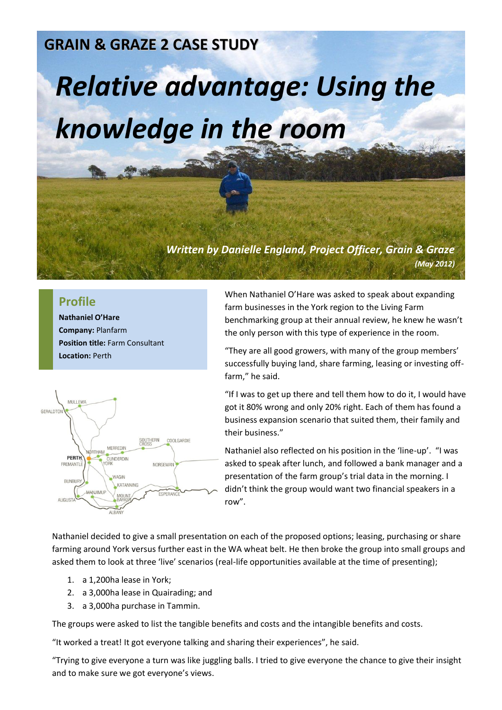## **GRAIN & GRAZE 2 CASE STUDY**

## *Relative advantage: Using the knowledge in the room*

*Written by Danielle England, Project Officer, Grain & Graze (May 2012)*

## **Profile**

**Nathaniel O'Hare Company:** Planfarm **Position title:** Farm Consultant **Location:** Perth



When Nathaniel O'Hare was asked to speak about expanding farm businesses in the York region to the Living Farm benchmarking group at their annual review, he knew he wasn't the only person with this type of experience in the room.

"They are all good growers, with many of the group members' successfully buying land, share farming, leasing or investing offfarm," he said.

"If I was to get up there and tell them how to do it, I would have got it 80% wrong and only 20% right. Each of them has found a business expansion scenario that suited them, their family and their business."

Nathaniel also reflected on his position in the 'line-up'. "I was asked to speak after lunch, and followed a bank manager and a presentation of the farm group's trial data in the morning. I didn't think the group would want two financial speakers in a row".

Nathaniel decided to give a small presentation on each of the proposed options; leasing, purchasing or share farming around York versus further east in the WA wheat belt. He then broke the group into small groups and asked them to look at three 'live' scenarios (real-life opportunities available at the time of presenting);

- 1. a 1,200ha lease in York;
- 2. a 3,000ha lease in Quairading; and
- 3. a 3,000ha purchase in Tammin.

The groups were asked to list the tangible benefits and costs and the intangible benefits and costs.

"It worked a treat! It got everyone talking and sharing their experiences", he said.

"Trying to give everyone a turn was like juggling balls. I tried to give everyone the chance to give their insight and to make sure we got everyone's views.